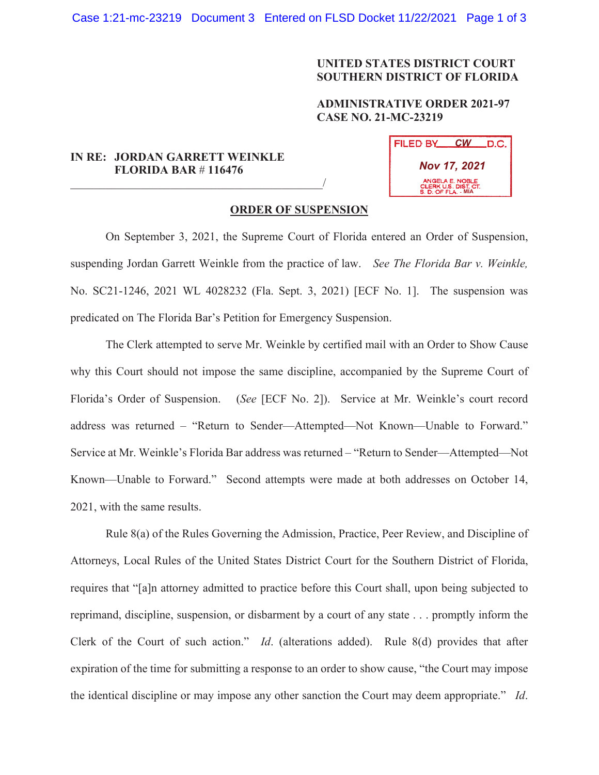## **UNITED STATES DISTRICT COURT SOUTHERN DISTRICT OF FLORIDA**

## **ADMINISTRATIVE ORDER 2021-97 CASE NO. 21-MC-23219**

## **IN RE: JORDAN GARRETT WEINKLE FLORIDA BAR** # **116476**

 $\overline{\phantom{a}}$  , which is a set of the set of the set of the set of the set of the set of the set of the set of the set of the set of the set of the set of the set of the set of the set of the set of the set of the set of th

| FILED BY                                                       | <b>CW</b> | .D.C. |
|----------------------------------------------------------------|-----------|-------|
| <b>Nov 17, 2021</b>                                            |           |       |
| ANGELA E. NOBLE<br>CLERK U.S. DIST. CT.<br>S. D. OF FLA. - MIA |           |       |

## **ORDER OF SUSPENSION**

On September 3, 2021, the Supreme Court of Florida entered an Order of Suspension, suspending Jordan Garrett Weinkle from the practice of law. *See The Florida Bar v. Weinkle,*  No. SC21-1246, 2021 WL 4028232 (Fla. Sept. 3, 2021) [ECF No. 1]. The suspension was predicated on The Florida Bar's Petition for Emergency Suspension.

The Clerk attempted to serve Mr. Weinkle by certified mail with an Order to Show Cause why this Court should not impose the same discipline, accompanied by the Supreme Court of Florida's Order of Suspension. (*See* [ECF No. 2]). Service at Mr. Weinkle's court record address was returned – "Return to Sender—Attempted—Not Known—Unable to Forward." Service at Mr. Weinkle's Florida Bar address was returned – "Return to Sender—Attempted—Not Known—Unable to Forward." Second attempts were made at both addresses on October 14, 2021, with the same results.

Rule 8(a) of the Rules Governing the Admission, Practice, Peer Review, and Discipline of Attorneys, Local Rules of the United States District Court for the Southern District of Florida, requires that "[a]n attorney admitted to practice before this Court shall, upon being subjected to reprimand, discipline, suspension, or disbarment by a court of any state . . . promptly inform the Clerk of the Court of such action." *Id*. (alterations added). Rule 8(d) provides that after expiration of the time for submitting a response to an order to show cause, "the Court may impose the identical discipline or may impose any other sanction the Court may deem appropriate." *Id*.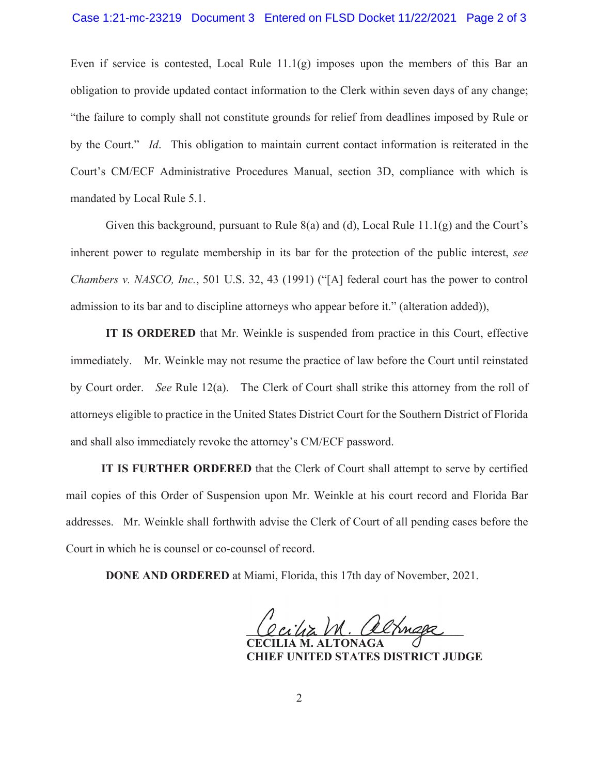Even if service is contested, Local Rule  $11.1(g)$  imposes upon the members of this Bar an obligation to provide updated contact information to the Clerk within seven days of any change; "the failure to comply shall not constitute grounds for relief from deadlines imposed by Rule or by the Court." *Id*. This obligation to maintain current contact information is reiterated in the Court's CM/ECF Administrative Procedures Manual, section 3D, compliance with which is mandated by Local Rule 5.1.

Given this background, pursuant to Rule  $8(a)$  and (d), Local Rule  $11.1(g)$  and the Court's inherent power to regulate membership in its bar for the protection of the public interest, *see Chambers v. NASCO, Inc.*, 501 U.S. 32, 43 (1991) ("[A] federal court has the power to control admission to its bar and to discipline attorneys who appear before it." (alteration added)),

**IT IS ORDERED** that Mr. Weinkle is suspended from practice in this Court, effective immediately. Mr. Weinkle may not resume the practice of law before the Court until reinstated by Court order. *See* Rule 12(a). The Clerk of Court shall strike this attorney from the roll of attorneys eligible to practice in the United States District Court for the Southern District of Florida and shall also immediately revoke the attorney's CM/ECF password.

**IT IS FURTHER ORDERED** that the Clerk of Court shall attempt to serve by certified mail copies of this Order of Suspension upon Mr. Weinkle at his court record and Florida Bar addresses. Mr. Weinkle shall forthwith advise the Clerk of Court of all pending cases before the Court in which he is counsel or co-counsel of record.

**DONE AND ORDERED** at Miami, Florida, this 17th day of November, 2021.

**\_\_\_\_\_\_\_\_\_\_\_\_\_\_\_\_\_\_\_\_\_\_\_\_\_\_\_\_\_\_\_\_\_\_\_\_\_** 

 **CECILIA M. ALTONAGA CHIEF UNITED STATES DISTRICT JUDGE**